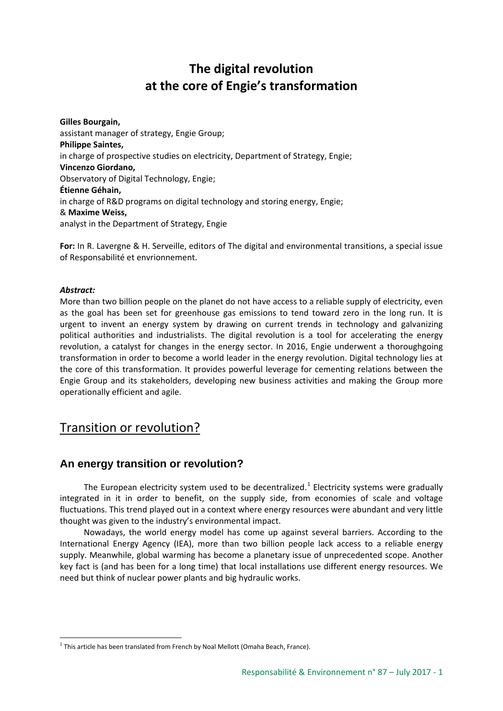# **The digital revolution at the core of Engie's transformation**

**Gilles Bourgain,**  assistant manager of strategy, Engie Group; **Philippe Saintes,**  in charge of prospective studies on electricity, Department of Strategy, Engie; **Vincenzo Giordano,**  Observatory of Digital Technology, Engie; **Étienne Géhain,**  in charge of R&D programs on digital technology and storing energy, Engie; & **Maxime Weiss,**  analyst in the Department of Strategy, Engie

**For:** In R. Lavergne & H. Serveille, editors of The digital and environmental transitions, a special issue of Responsabilité et envrionnement.

### *Abstract:*

More than two billion people on the planet do not have access to a reliable supply of electricity, even as the goal has been set for greenhouse gas emissions to tend toward zero in the long run. It is urgent to invent an energy system by drawing on current trends in technology and galvanizing political authorities and industrialists. The digital revolution is a tool for accelerating the energy revolution, a catalyst for changes in the energy sector. In 2016, Engie underwent a thoroughgoing transformation in order to become a world leader in the energy revolution. Digital technology lies at the core of this transformation. It provides powerful leverage for cementing relations between the Engie Group and its stakeholders, developing new business activities and making the Group more operationally efficient and agile.

## Transition or revolution?

### **An energy transition or revolution?**

The European electricity system used to be decentralized.<sup>[1](#page-0-0)</sup> Electricity systems were gradually integrated in it in order to benefit, on the supply side, from economies of scale and voltage fluctuations. This trend played out in a context where energy resources were abundant and very little thought was given to the industry's environmental impact.

Nowadays, the world energy model has come up against several barriers. According to the International Energy Agency (IEA), more than two billion people lack access to a reliable energy supply. Meanwhile, global warming has become a planetary issue of unprecedented scope. Another key fact is (and has been for a long time) that local installations use different energy resources. We need but think of nuclear power plants and big hydraulic works.

<span id="page-0-0"></span> $1$  This article has been translated from French by Noal Mellott (Omaha Beach, France).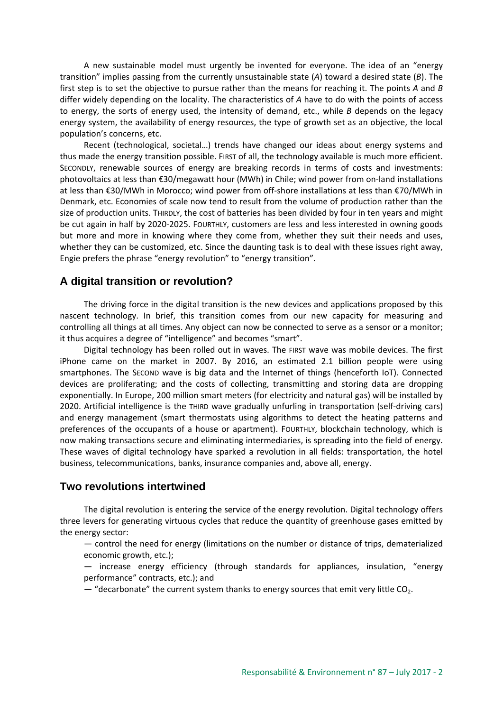A new sustainable model must urgently be invented for everyone. The idea of an "energy transition" implies passing from the currently unsustainable state (*A*) toward a desired state (*B*). The first step is to set the objective to pursue rather than the means for reaching it. The points *A* and *B* differ widely depending on the locality. The characteristics of *A* have to do with the points of access to energy, the sorts of energy used, the intensity of demand, etc., while *B* depends on the legacy energy system, the availability of energy resources, the type of growth set as an objective, the local population's concerns, etc.

Recent (technological, societal…) trends have changed our ideas about energy systems and thus made the energy transition possible. FIRST of all, the technology available is much more efficient. SECONDLY, renewable sources of energy are breaking records in terms of costs and investments: photovoltaics at less than €30/megawatt hour (MWh) in Chile; wind power from on-land installations at less than €30/MWh in Morocco; wind power from off-shore installations at less than €70/MWh in Denmark, etc. Economies of scale now tend to result from the volume of production rather than the size of production units. THIRDLY, the cost of batteries has been divided by four in ten years and might be cut again in half by 2020-2025. FOURTHLY, customers are less and less interested in owning goods but more and more in knowing where they come from, whether they suit their needs and uses, whether they can be customized, etc. Since the daunting task is to deal with these issues right away, Engie prefers the phrase "energy revolution" to "energy transition".

### **A digital transition or revolution?**

The driving force in the digital transition is the new devices and applications proposed by this nascent technology. In brief, this transition comes from our new capacity for measuring and controlling all things at all times. Any object can now be connected to serve as a sensor or a monitor; it thus acquires a degree of "intelligence" and becomes "smart".

Digital technology has been rolled out in waves. The FIRST wave was mobile devices. The first iPhone came on the market in 2007. By 2016, an estimated 2.1 billion people were using smartphones. The SECOND wave is big data and the Internet of things (henceforth IoT). Connected devices are proliferating; and the costs of collecting, transmitting and storing data are dropping exponentially. In Europe, 200 million smart meters (for electricity and natural gas) will be installed by 2020. Artificial intelligence is the THIRD wave gradually unfurling in transportation (self-driving cars) and energy management (smart thermostats using algorithms to detect the heating patterns and preferences of the occupants of a house or apartment). FOURTHLY, blockchain technology, which is now making transactions secure and eliminating intermediaries, is spreading into the field of energy. These waves of digital technology have sparked a revolution in all fields: transportation, the hotel business, telecommunications, banks, insurance companies and, above all, energy.

### **Two revolutions intertwined**

The digital revolution is entering the service of the energy revolution. Digital technology offers three levers for generating virtuous cycles that reduce the quantity of greenhouse gases emitted by the energy sector:

— control the need for energy (limitations on the number or distance of trips, dematerialized economic growth, etc.);

— increase energy efficiency (through standards for appliances, insulation, "energy performance" contracts, etc.); and

 $-$  "decarbonate" the current system thanks to energy sources that emit very little CO<sub>2</sub>.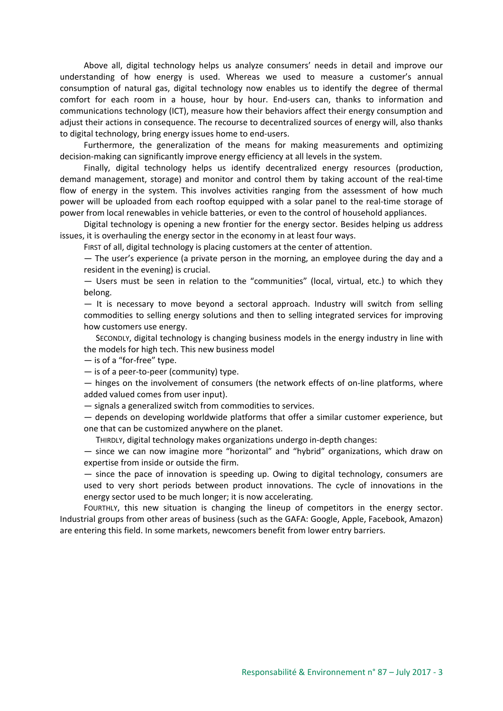Above all, digital technology helps us analyze consumers' needs in detail and improve our understanding of how energy is used. Whereas we used to measure a customer's annual consumption of natural gas, digital technology now enables us to identify the degree of thermal comfort for each room in a house, hour by hour. End-users can, thanks to information and communications technology (ICT), measure how their behaviors affect their energy consumption and adjust their actions in consequence. The recourse to decentralized sources of energy will, also thanks to digital technology, bring energy issues home to end-users.

Furthermore, the generalization of the means for making measurements and optimizing decision-making can significantly improve energy efficiency at all levels in the system.

Finally, digital technology helps us identify decentralized energy resources (production, demand management, storage) and monitor and control them by taking account of the real-time flow of energy in the system. This involves activities ranging from the assessment of how much power will be uploaded from each rooftop equipped with a solar panel to the real-time storage of power from local renewables in vehicle batteries, or even to the control of household appliances.

Digital technology is opening a new frontier for the energy sector. Besides helping us address issues, it is overhauling the energy sector in the economy in at least four ways.

FIRST of all, digital technology is placing customers at the center of attention.

— The user's experience (a private person in the morning, an employee during the day and a resident in the evening) is crucial.

— Users must be seen in relation to the "communities" (local, virtual, etc.) to which they belong.

— It is necessary to move beyond a sectoral approach. Industry will switch from selling commodities to selling energy solutions and then to selling integrated services for improving how customers use energy.

SECONDLY, digital technology is changing business models in the energy industry in line with the models for high tech. This new business model

— is of a "for-free" type.

— is of a peer-to-peer (community) type.

— hinges on the involvement of consumers (the network effects of on-line platforms, where added valued comes from user input).

— signals a generalized switch from commodities to services.

— depends on developing worldwide platforms that offer a similar customer experience, but one that can be customized anywhere on the planet.

THIRDLY, digital technology makes organizations undergo in-depth changes:

— since we can now imagine more "horizontal" and "hybrid" organizations, which draw on expertise from inside or outside the firm.

— since the pace of innovation is speeding up. Owing to digital technology, consumers are used to very short periods between product innovations. The cycle of innovations in the energy sector used to be much longer; it is now accelerating.

FOURTHLY, this new situation is changing the lineup of competitors in the energy sector. Industrial groups from other areas of business (such as the GAFA: Google, Apple, Facebook, Amazon) are entering this field. In some markets, newcomers benefit from lower entry barriers.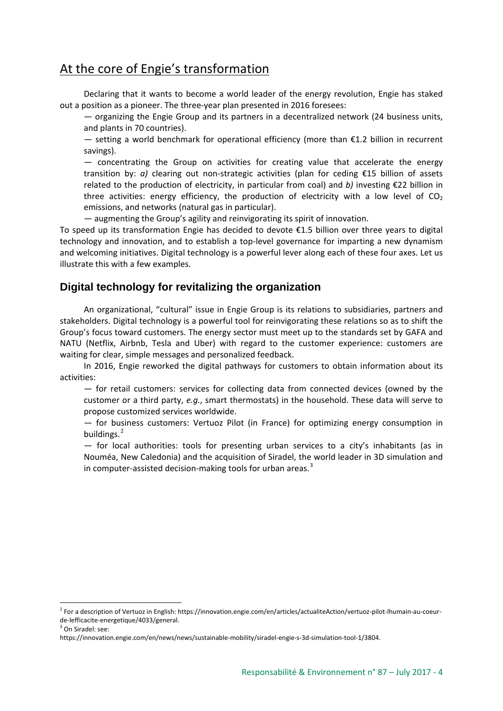# At the core of Engie's transformation

Declaring that it wants to become a world leader of the energy revolution, Engie has staked out a position as a pioneer. The three-year plan presented in 2016 foresees:

— organizing the Engie Group and its partners in a decentralized network (24 business units, and plants in 70 countries).

 $−$  setting a world benchmark for operational efficiency (more than  $€1.2$  billion in recurrent savings).

— concentrating the Group on activities for creating value that accelerate the energy transition by: *a)* clearing out non-strategic activities (plan for ceding €15 billion of assets related to the production of electricity, in particular from coal) and *b)* investing €22 billion in three activities: energy efficiency, the production of electricity with a low level of  $CO<sub>2</sub>$ emissions, and networks (natural gas in particular).

— augmenting the Group's agility and reinvigorating its spirit of innovation.

To speed up its transformation Engie has decided to devote €1.5 billion over three years to digital technology and innovation, and to establish a top-level governance for imparting a new dynamism and welcoming initiatives. Digital technology is a powerful lever along each of these four axes. Let us illustrate this with a few examples.

### **Digital technology for revitalizing the organization**

An organizational, "cultural" issue in Engie Group is its relations to subsidiaries, partners and stakeholders. Digital technology is a powerful tool for reinvigorating these relations so as to shift the Group's focus toward customers. The energy sector must meet up to the standards set by GAFA and NATU (Netflix, Airbnb, Tesla and Uber) with regard to the customer experience: customers are waiting for clear, simple messages and personalized feedback.

In 2016, Engie reworked the digital pathways for customers to obtain information about its activities:

— for retail customers: services for collecting data from connected devices (owned by the customer or a third party, *e.g.*, smart thermostats) in the household. These data will serve to propose customized services worldwide.

— for business customers: Vertuoz Pilot (in France) for optimizing energy consumption in buildings.<sup>[2](#page-3-0)</sup>

— for local authorities: tools for presenting urban services to a city's inhabitants (as in Nouméa, New Caledonia) and the acquisition of Siradel, the world leader in 3D simulation and in computer-assisted decision-making tools for urban areas.<sup>[3](#page-3-1)</sup>

<span id="page-3-0"></span><sup>2</sup> For a description of Vertuoz in English: https://innovation.engie.com/en/articles/actualiteAction/vertuoz-pilot-lhumain-au-coeurde-lefficacite-energetique/4033/general.

<span id="page-3-1"></span><sup>&</sup>lt;sup>3</sup> On Siradel: see:

https://innovation.engie.com/en/news/news/sustainable-mobility/siradel-engie-s-3d-simulation-tool-1/3804.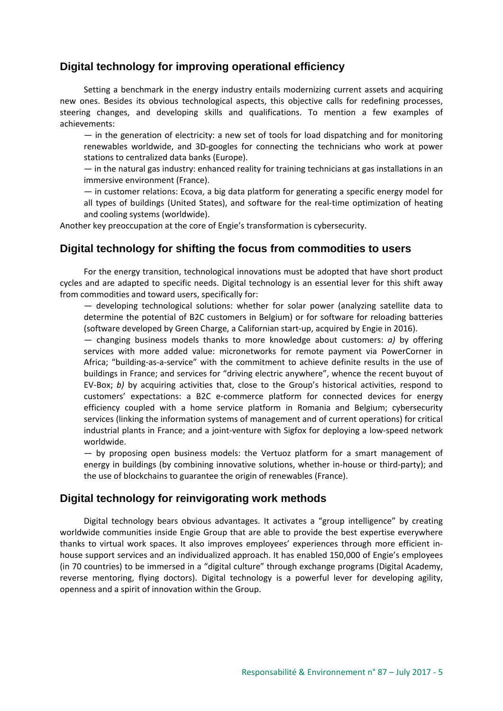### **Digital technology for improving operational efficiency**

Setting a benchmark in the energy industry entails modernizing current assets and acquiring new ones. Besides its obvious technological aspects, this objective calls for redefining processes, steering changes, and developing skills and qualifications. To mention a few examples of achievements:

 $-$  in the generation of electricity: a new set of tools for load dispatching and for monitoring renewables worldwide, and 3D-googles for connecting the technicians who work at power stations to centralized data banks (Europe).

— in the natural gas industry: enhanced reality for training technicians at gas installations in an immersive environment (France).

— in customer relations: Ecova, a big data platform for generating a specific energy model for all types of buildings (United States), and software for the real-time optimization of heating and cooling systems (worldwide).

Another key preoccupation at the core of Engie's transformation is cybersecurity.

### **Digital technology for shifting the focus from commodities to users**

For the energy transition, technological innovations must be adopted that have short product cycles and are adapted to specific needs. Digital technology is an essential lever for this shift away from commodities and toward users, specifically for:

— developing technological solutions: whether for solar power (analyzing satellite data to determine the potential of B2C customers in Belgium) or for software for reloading batteries (software developed by Green Charge, a Californian start-up, acquired by Engie in 2016).

— changing business models thanks to more knowledge about customers: *a)* by offering services with more added value: micronetworks for remote payment via PowerCorner in Africa; "building-as-a-service" with the commitment to achieve definite results in the use of buildings in France; and services for "driving electric anywhere", whence the recent buyout of EV-Box; *b)* by acquiring activities that, close to the Group's historical activities, respond to customers' expectations: a B2C e-commerce platform for connected devices for energy efficiency coupled with a home service platform in Romania and Belgium; cybersecurity services (linking the information systems of management and of current operations) for critical industrial plants in France; and a joint-venture with Sigfox for deploying a low-speed network worldwide.

— by proposing open business models: the Vertuoz platform for a smart management of energy in buildings (by combining innovative solutions, whether in-house or third-party); and the use of blockchains to guarantee the origin of renewables (France).

### **Digital technology for reinvigorating work methods**

Digital technology bears obvious advantages. It activates a "group intelligence" by creating worldwide communities inside Engie Group that are able to provide the best expertise everywhere thanks to virtual work spaces. It also improves employees' experiences through more efficient inhouse support services and an individualized approach. It has enabled 150,000 of Engie's employees (in 70 countries) to be immersed in a "digital culture" through exchange programs (Digital Academy, reverse mentoring, flying doctors). Digital technology is a powerful lever for developing agility, openness and a spirit of innovation within the Group.